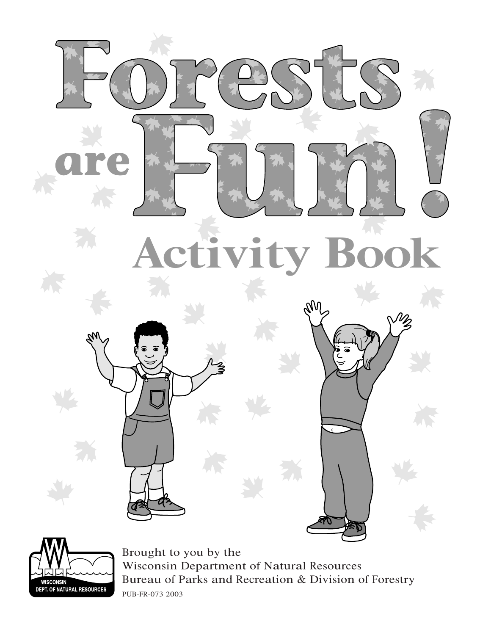





Brought to you by the Wisconsin Department of Natural Resources Bureau of Parks and Recreation & Division of Forestry PUB-FR-073 2003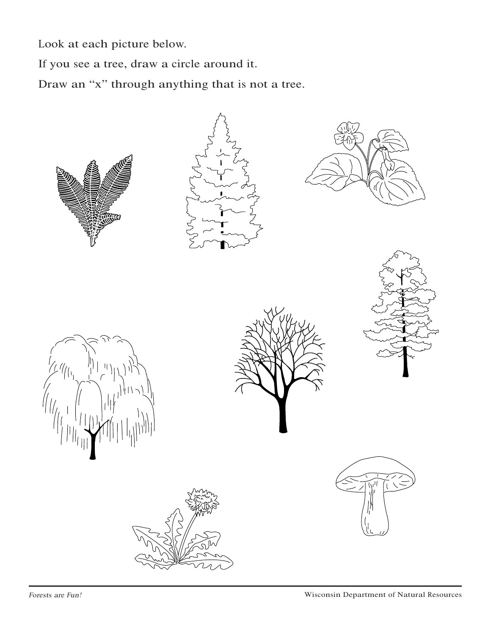Look at each picture below.

If you see a tree, draw a circle around it.

Draw an "x" through anything that is not a tree.

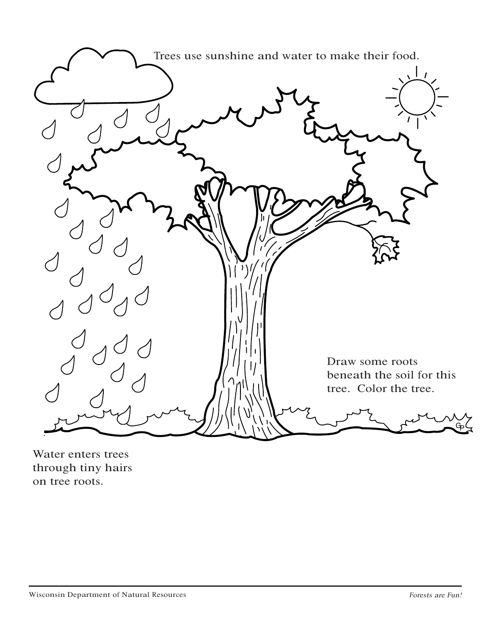

Water enters trees through tiny hairs on tree roots.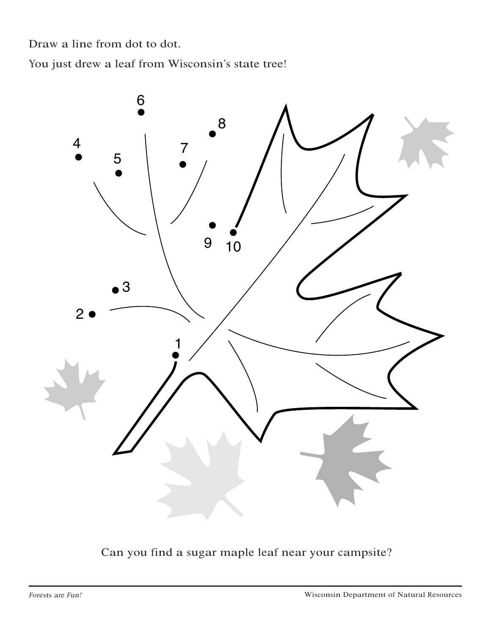Draw a line from dot to dot.

You just drew a leaf from Wisconsin's state tree!



Can you find a sugar maple leaf near your campsite?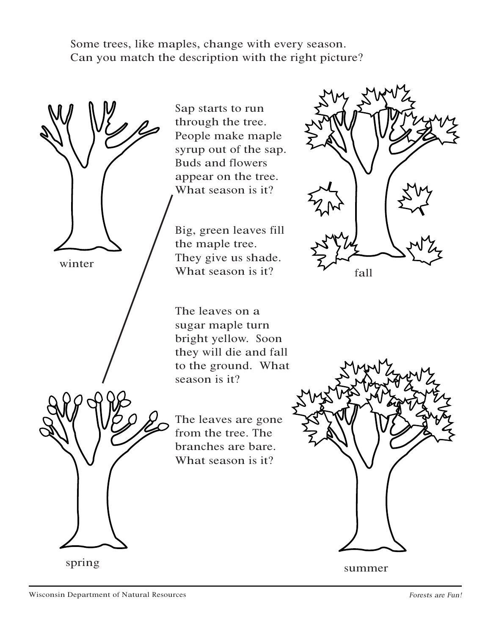Some trees, like maples, change with every season. Can you match the description with the right picture?

winter spring

Sap starts to run through the tree. People make maple syrup out of the sap. Buds and flowers appear on the tree. What season is it?

Big, green leaves fill the maple tree. They give us shade. What season is it?

The leaves on a sugar maple turn bright yellow. Soon they will die and fall to the ground. What season is it?

The leaves are gone from the tree. The branches are bare. What season is it?





summer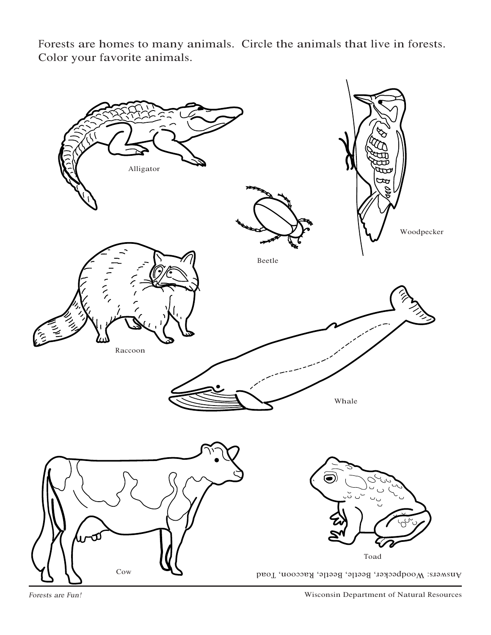

Forests are homes to many animals. Circle the animals that live in forests. Color your favorite animals.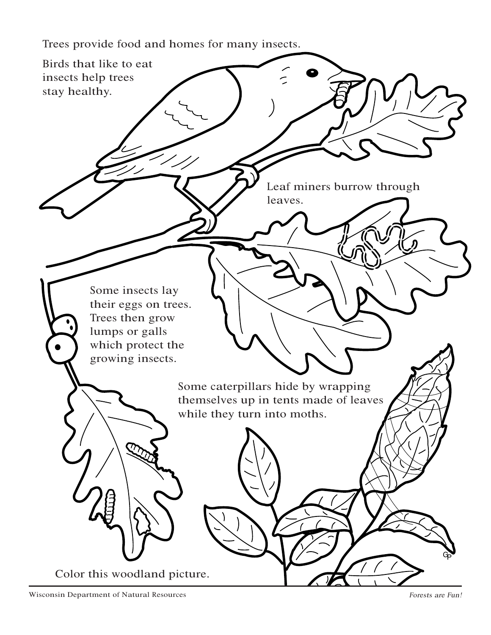Trees provide food and homes for many insects.

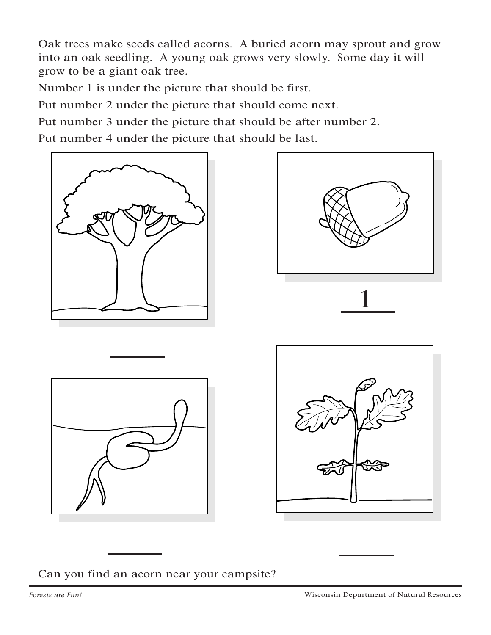Oak trees make seeds called acorns. A buried acorn may sprout and grow into an oak seedling. A young oak grows very slowly. Some day it will grow to be a giant oak tree.

Number 1 is under the picture that should be first.

Put number 2 under the picture that should come next.

Put number 3 under the picture that should be after number 2.

Put number 4 under the picture that should be last.











Can you find an acorn near your campsite?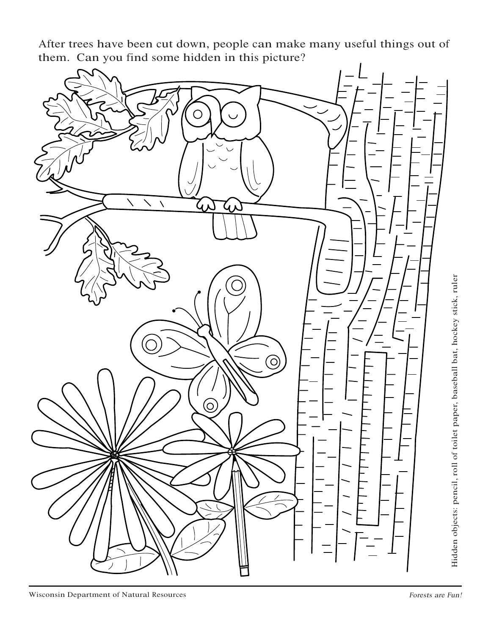<sup>A</sup>fter trees have been cut down, people can make many useful things out of them. Can you find some hidden in this picture?



ockey stick, ruler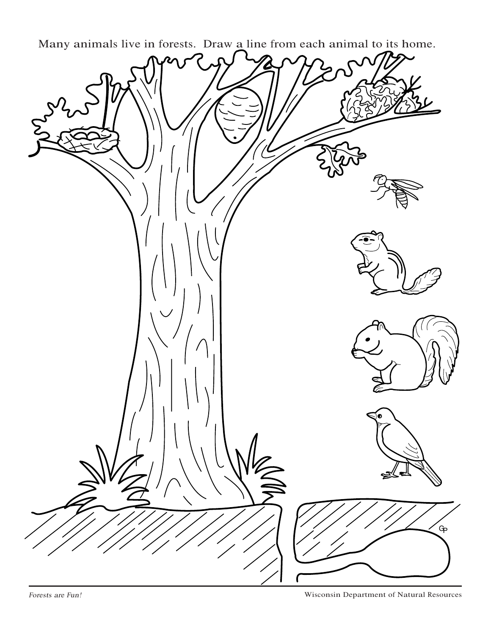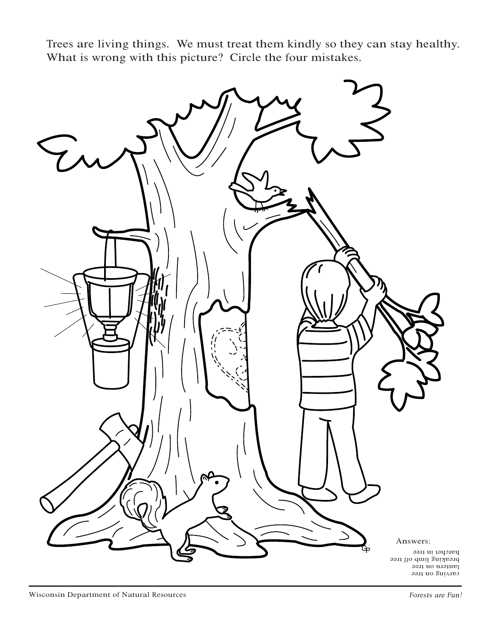Trees are living things. We must treat them kindly so they can stay healthy. What is wrong with this picture? Circle the four mistakes.

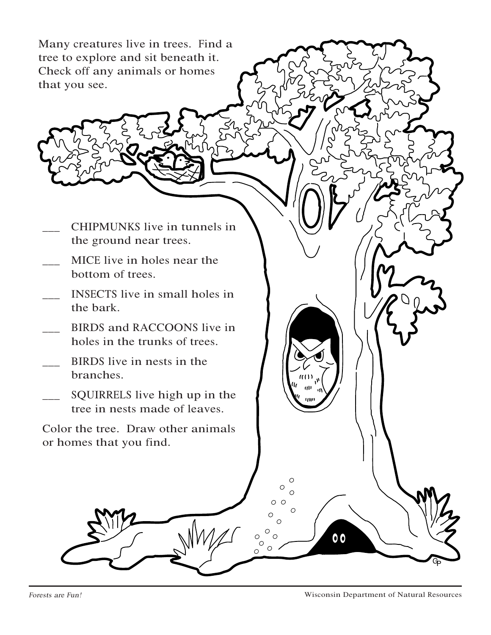Many creatures live in trees. Find a tree to explore and sit beneath it. Check off any animals or homes that you see.

- \_\_\_ CHIPMUNKS live in tunnels in the ground near trees.
- \_\_\_ MICE live in holes near the bottom of trees.
- \_\_\_ INSECTS live in small holes in the bark.
- BIRDS and RACCOONS live in holes in the trunks of trees.
- \_\_\_ BIRDS live in nests in the branches.
- SQUIRRELS live high up in the tree in nests made of leaves.

Color the tree. Draw other animals or homes that you find.

 $0<sub>0</sub>$ 

Ċ  $\circ$  $\bigcap$ 

 $\circ$  $\circ$ 

 $\Omega$  $\circ$  $\circ$ 

 $\circ$  $\circ$ 

 $\circ \circ$  $\circ$ 

GP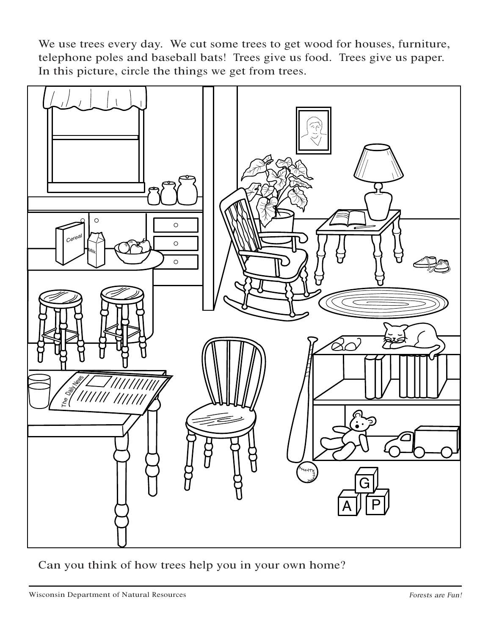We use trees every day. We cut some trees to get wood for houses, furniture, telephone poles and baseball bats! Trees give us food. Trees give us paper. In this picture, circle the things we get from trees.



Can you think of how trees help you in your own home?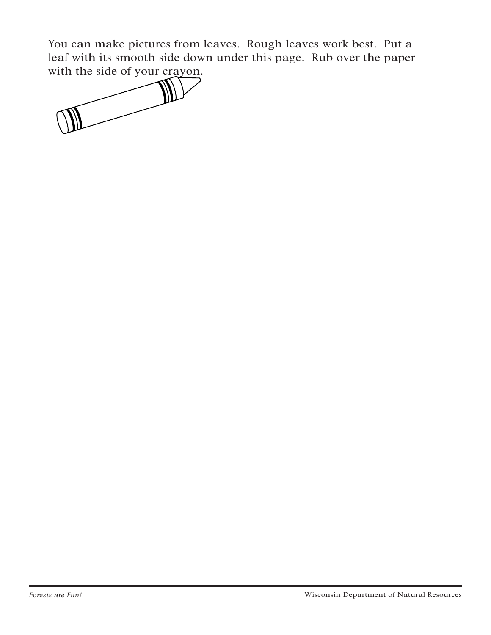You can make pictures from leaves. Rough leaves work best. Put a leaf with its smooth side down under this page. Rub over the paper with the side of your crayon.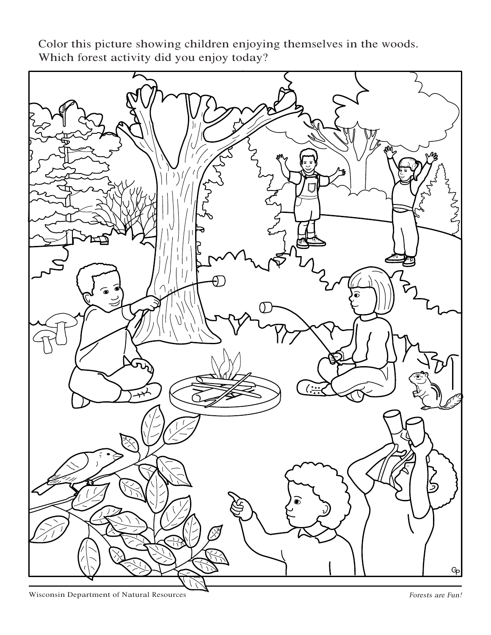GP

Color this picture showing children enjoying themselves in the woods. Which forest activity did you enjoy today?

Wisconsin Department of Natural Resources **Forests** are Fun!